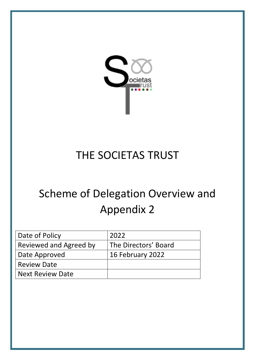

# THE SOCIETAS TRUST

# Scheme of Delegation Overview and Appendix 2

| Date of Policy          | 2022                 |
|-------------------------|----------------------|
| Reviewed and Agreed by  | The Directors' Board |
| Date Approved           | 16 February 2022     |
| <b>Review Date</b>      |                      |
| <b>Next Review Date</b> |                      |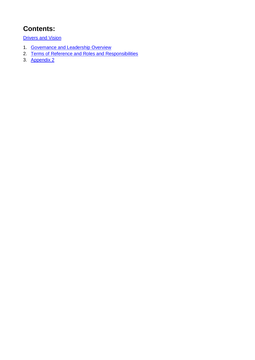## **Contents:**

**[Drivers and Vision](#page-2-0)** 

- 1. [Governance and Leadership Overview](#page-3-0)
- 2. [Terms of Reference and Roles and Responsibilities](#page-5-0)
- 3. [Appendix 2](#page-10-0)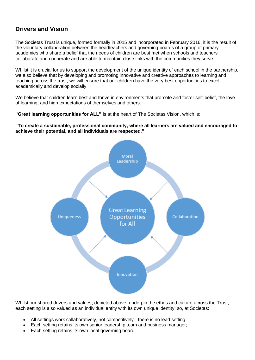## <span id="page-2-0"></span>**Drivers and Vision**

The Societas Trust is unique, formed formally in 2015 and incorporated in February 2016, it is the result of the voluntary collaboration between the headteachers and governing boards of a group of primary academies who share a belief that the needs of children are best met when schools and teachers collaborate and cooperate and are able to maintain close links with the communities they serve.

Whilst it is crucial for us to support the development of the unique identity of each school in the partnership, we also believe that by developing and promoting innovative and creative approaches to learning and teaching across the trust, we will ensure that our children have the very best opportunities to excel academically and develop socially.

We believe that children learn best and thrive in environments that promote and foster self-belief, the love of learning, and high expectations of themselves and others.

**"Great learning opportunities for ALL"** is at the heart of The Societas Vision, which is:

**"To create a sustainable, professional community, where all learners are valued and encouraged to achieve their potential, and all individuals are respected."**



Whilst our shared drivers and values, depicted above, underpin the ethos and culture across the Trust, each setting is also valued as an individual entity with its own unique identity; so, at Societas:

- All settings work collaboratively, not competitively there is no lead setting;
- Each setting retains its own senior leadership team and business manager;
- Each setting retains its own local governing board.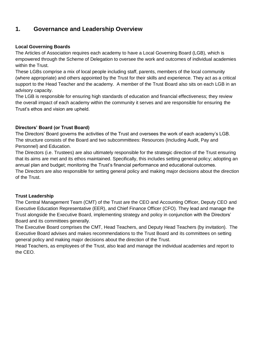## <span id="page-3-0"></span>**1. Governance and Leadership Overview**

#### **Local Governing Boards**

The Articles of Association requires each academy to have a Local Governing Board (LGB), which is empowered through the Scheme of Delegation to oversee the work and outcomes of individual academies within the Trust.

These LGBs comprise a mix of local people including staff, parents, members of the local community (where appropriate) and others appointed by the Trust for their skills and experience. They act as a critical support to the Head Teacher and the academy. A member of the Trust Board also sits on each LGB in an advisory capacity.

The LGB is responsible for ensuring high standards of education and financial effectiveness; they review the overall impact of each academy within the community it serves and are responsible for ensuring the Trust's ethos and vision are upheld.

#### **Directors' Board (or Trust Board)**

The Directors' Board governs the activities of the Trust and oversees the work of each academy's LGB. The structure consists of the Board and two subcommittees: Resources (Including Audit, Pay and Personnel) and Education.

The Directors (i.e. Trustees) are also ultimately responsible for the strategic direction of the Trust ensuring that its aims are met and its ethos maintained. Specifically, this includes setting general policy; adopting an annual plan and budget; monitoring the Trust's financial performance and educational outcomes. The Directors are also responsible for setting general policy and making major decisions about the direction

of the Trust.

#### **Trust Leadership**

The Central Management Team (CMT) of the Trust are the CEO and Accounting Officer, Deputy CEO and Executive Education Representative (EER), and Chief Finance Officer (CFO). They lead and manage the Trust alongside the Executive Board, implementing strategy and policy in conjunction with the Directors' Board and its committees generally.

The Executive Board comprises the CMT, Head Teachers, and Deputy Head Teachers (by invitation). The Executive Board advises and makes recommendations to the Trust Board and its committees on setting general policy and making major decisions about the direction of the Trust.

Head Teachers, as employees of the Trust, also lead and manage the individual academies and report to the CEO.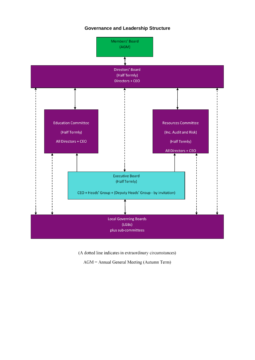#### **Governance and Leadership Structure**



(A dotted line indicates in extraordinary circumstances)

AGM = Annual General Meeting (Autumn Term)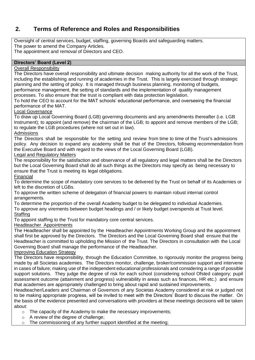## <span id="page-5-0"></span>**2. Terms of Reference and Roles and Responsibilities**

Oversight of central services, budget, staffing, governing Boards and safeguarding matters. The power to amend the Company Articles.

The appointment and removal of Directors and CEO.

#### **Directors' Board (Level 2)**

#### Overall Responsibility

The Directors have overall responsibility and ultimate decision making authority for all the work of the Trust, including the establishing and running of academies in the Trust. This is largely exercised through strategic planning and the setting of policy. It is managed through business planning, monitoring of budgets, performance management, the setting of standards and the implementation of quality management

processes. To also ensure that the trust is compliant with data protection legislation.

To hold the CEO to account for the MAT schools' educational performance, and overseeing the financial performance of the MAT.

#### Local Governance

To draw up Local Governing Board (LGB) governing documents and any amendments thereafter (i.e. LGB Instrument): to appoint (and remove) the chairman of the LGB; to appoint and remove members of the LGB; to regulate the LGB procedures (where not set out in law).

#### Admissions

The Directors shall be responsible for the setting and review from time to time of the Trust's admissions policy. Any decision to expand any academy shall be that of the Directors, following recommendation from the Executive Board and with regard to the views of the Local Governing Board (LGB).

#### Legal and Regulatory Matters

The responsibility for the satisfaction and observance of all regulatory and legal matters shall be the Directors but the Local Governing Board shall do all such things as the Directors may specify as being necessary to ensure that the Trust is meeting its legal obligations.

#### Financial

To determine the scope of mandatory core services to be delivered by the Trust on behalf of its Academies or left to the discretion of LGBs.

To approve the written scheme of delegation of financial powers to maintain robust internal control arrangements.

To determine the proportion of the overall Academy budget to be delegated to individual Academies.

To approve any virements between budget headings and / or likely budget overspends at Trust level. **Staffing** 

To appoint staffing to the Trust for mandatory core central services.

#### Headteacher Appointments

The Headteacher shall be appointed by the Headteacher Appointments Working Group and the appointment shall first be approved by the Directors. The Directors and the Local Governing Board shall ensure that the Headteacher is committed to upholding the Mission of the Trust. The Directors in consultation with the Local Governing Board shall manage the performance of the Headteacher.

#### Improving Education Strategy

The Directors have responsibility, through the Education Committee, to rigorously monitor the progress being made by all Societas academies. The Directors monitor, challenge, broker/commission support and intervene in cases of failure; making use of the independent educational professionals and considering a range of possible support solutions. They judge the degree of risk for each school (considering school Ofsted category; pupil assessment outcome (attainment and progress) vulnerability in areas such as finances, HR etc.) and ensure that academies are appropriately challenged to bring about rapid and sustained improvements.

Headteacher/Leaders and Chairman of Governors of any Societas Academy considered at risk or judged not to be making appropriate progress, will be invited to meet with the Directors' Board to discuss the matter. On the basis of the evidence presented and conversations with providers at these meetings decisions will be taken about:

- o The capacity of the Academy to make the necessary improvements;
- o A review of the degree of challenge;
- o The commissioning of any further support identified at the meeting;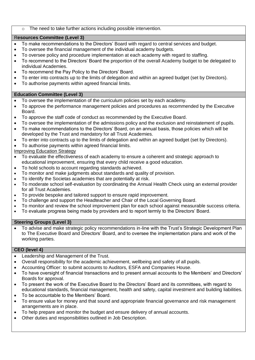#### The need to take further actions including possible intervention.

#### R**esources Committee (Level 3)**

- To make recommendations to the Directors' Board with regard to central services and budget.
- To oversee the financial management of the individual academy budgets.
- To oversee policy and procedure implementation at each academy with regard to staffing.
- To recommend to the Directors' Board the proportion of the overall Academy budget to be delegated to individual Academies.
- To recommend the Pay Policy to the Directors' Board.
- To enter into contracts up to the limits of delegation and within an agreed budget (set by Directors).
- To authorise payments within agreed financial limits.

#### **Education Committee (Level 3)**

- To oversee the implementation of the curriculum policies set by each academy.
- To approve the performance management policies and procedures as recommended by the Executive Board.
- To approve the staff code of conduct as recommended by the Executive Board.
- To oversee the implementation of the admissions policy and the exclusion and reinstatement of pupils.
- To make recommendations to the Directors' Board, on an annual basis, those policies which will be developed by the Trust and mandatory for all Trust Academies.
- To enter into contracts up to the limits of delegation and within an agreed budget (set by Directors).
- To authorise payments within agreed financial limits.

Improving Education Strategy

- To evaluate the effectiveness of each academy to ensure a coherent and strategic approach to educational improvement, ensuring that every child receive a good education.
- To hold schools to account regarding standards achieved.
- To monitor and make judgments about standards and quality of provision.
- To identify the Societas academies that are potentially at risk.
- To moderate school self-evaluation by coordinating the Annual Health Check using an external provider for all Trust Academies.
- To provide bespoke and tailored support to ensure rapid improvement.
- To challenge and support the Headteacher and Chair of the Local Governing Board.
- To monitor and review the school improvement plan for each school against measurable success criteria.
- To evaluate progress being made by providers and to report termly to the Directors' Board.

#### **Steering Groups (Level 3)**

 To advise and make strategic policy recommendations in-line with the Trust's Strategic Development Plan to The Executive Board and Directors' Board, and to oversee the implementation plans and work of the working parties.

#### **CEO (level 4)**

- Leadership and Management of the Trust.
- Overall responsibility for the academic achievement, wellbeing and safety of all pupils.
- Accounting Officer: to submit accounts to Auditors, ESFA and Companies House.
- To have oversight of financial transactions and to present annual accounts to the Members' and Directors' Boards for approval.
- To present the work of the Executive Board to the Directors' Board and its committees, with regard to educational standards, financial management, health and safety, capital investment and building liabilities.
- To be accountable to the Members' Board.
- To ensure value for money and that sound and appropriate financial governance and risk management arrangements are in place.
- To help prepare and monitor the budget and ensure delivery of annual accounts.
- Other duties and responsibilities outlined in Job Description.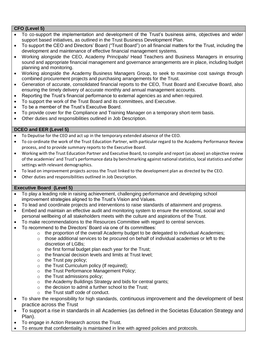#### **CFO (Level 5)**

- To co-support the implementation and development of the Trust's business aims, objectives and wider support based initiatives, as outlined in the Trust Business Development Plan.
- To support the CEO and Directors' Board ("Trust Board") on all financial matters for the Trust, including the development and maintenance of effective financial management systems.
- Working alongside the CEO, Academy Principals/ Head Teachers and Business Managers in ensuring sound and appropriate financial management and governance arrangements are in place, including budget planning and monitoring.
- Working alongside the Academy Business Managers Group, to seek to maximise cost savings through combined procurement projects and purchasing arrangements for the Trust.
- Generation of accurate, consolidated financial reports to the CEO, Trust Board and Executive Board, also ensuring the timely delivery of accurate monthly and annual management accounts.
- Reporting the Trust's financial performance to external agencies as and when required.
- To support the work of the Trust Board and its committees, and Executive.
- To be a member of the Trust's Executive Board.
- To provide cover for the Compliance and Training Manager on a temporary short-term basis.
- Other duties and responsibilities outlined in Job Description.

#### **DCEO and EER (Level 5)**

- To Deputise for the CEO and act up in the temporary extended absence of the CEO.
- To co-ordinate the work of the Trust Education Partner, with particular regard to the Academy Performance Review process, and to provide summary reports to the Executive Board.
- Working with the Trust Education Partner and Executive Board, to compile and report (as above) an objective review of the academies' and Trust's performance data by benchmarking against national statistics, local statistics and other settings with relevant demographics.
- To lead on improvement projects across the Trust linked to the development plan as directed by the CEO.
- Other duties and responsibilities outlined in Job Description.

#### **Executive Board (Level 5)**

- To play a leading role in raising achievement, challenging performance and developing school improvement strategies aligned to the Trust's Vision and Values.
- To lead and coordinate projects and interventions to raise standards of attainment and progress.
- Embed and maintain an effective audit and monitoring system to ensure the emotional, social and personal wellbeing of all stakeholders meets with the culture and aspirations of the Trust.
- To make recommendations to the Resources Committee with regard to central services.
- To recommend to the Directors' Board via one of its committees:
	- $\circ$  the proportion of the overall Academy budget to be delegated to individual Academies;
	- $\circ$  those additional services to be procured on behalf of individual academies or left to the discretion of LGBs;
	- $\circ$  the first formal budget plan each year for the Trust;
	- o the financial decision levels and limits at Trust level;
	- $\circ$  the Trust pay policy:
	- o the Trust Curriculum policy (If required);
	- o the Trust Performance Management Policy;
	- o the Trust admissions policy;
	- o the Academy Buildings Strategy and bids for central grants;
	- o the decision to admit a further school to the Trust;
	- o the Trust staff code of conduct.
- To share the responsibility for high standards, continuous improvement and the development of best practice across the Trust
- To support a rise in standards in all Academies (as defined in the Societas Education Strategy and Plan).
- To engage in Action Research across the Trust.
- To ensure that confidentiality is maintained in line with agreed policies and protocols.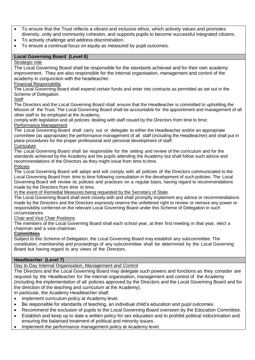- To ensure that the Trust reflects a vibrant and inclusive ethos, which actively values and promotes diversity, unity and community cohesion, and supports pupils to become successful integrated citizens.
- To actively challenge and address discrimination.
- To ensure a continual focus on equity as measured by pupil outcomes.

#### **Local Governing Board (Level 6)**

#### Strategic role

The Local Governing Board shall be responsible for the standards achieved and for their own academy improvement. They are also responsible for the internal organisation, management and control of the academy in conjunction with the headteacher.

#### Financial Responsibility

The Local Governing Board shall expend certain funds and enter into contracts as permitted as set out in the Scheme of Delegation.

#### **Staff**

The Directors and the Local Governing Board shall ensure that the Headteacher is committed to upholding the Mission of the Trust. The Local Governing Board shall be accountable for the appointment and management of all other staff to be employed at the Academy,

comply with legislation and all policies dealing with staff issued by the Directors from time to time; Performance Management

The Local Governing Board shall carry out or delegate to either the Headteacher and/or an appropriate committee (as appropriate) the performance management of all staff (including the Headteacher) and shall put in place procedures for the proper professional and personal development of staff. **Curriculum** 

The Local Governing Board shall be responsible for the setting and review of the curriculum and for the standards achieved by the Academy and the pupils attending the Academy but shall follow such advice and recommendations of the Directors as they might issue from time to time. Policies

The Local Governing Board will adopt and will comply with all policies of the Directors communicated to the Local Governing Board from time to time following consultation in the development of such policies. The Local Governing Board will review its policies and practices on a regular basis, having regard to recommendations made by the Directors from time to time.

In the event of Remedial Measures being requested by the Secretary of State

The Local Governing Board shall work closely with and shall promptly implement any advice or recommendations made by the Directors and the Directors expressly reserve the unfettered right to review or remove any power or responsibility conferred on the relevant Local Governing Board under this Scheme of Delegation in such circumstances.

#### Chair and Vice Chair Positions

The members of the Local Governing Board shall each school year, at their first meeting in that year, elect a chairman and a vice-chairman.

#### **Committees**

Subject to this Scheme of Delegation, the Local Governing Board may establish any subcommittee. The constitution, membership and proceedings of any subcommittee shall be determined by the Local Governing Board but having regard to any views of the Directors.

#### **Headteacher (Level 7)**

Day to Day Internal Organisation, Management and Control

The Directors and the Local Governing Board may delegate such powers and functions as they consider are required by the Headteacher for the internal organisation, management and control of the Academy (including the implementation of all policies approved by the Directors and the Local Governing Board and for the direction of the teaching and curriculum at the Academy).

In particular, the Academy Headteacher shall:

- Implement curriculum policy at Academy level.
- Be responsible for standards of teaching, an individual child's education and pupil outcomes.
- Recommend the exclusion of pupils to the Local Governing Board overseen by the Education Committee.
- Establish and keep up to date a written policy for sex education and to prohibit political indoctrination and ensuring the balanced treatment of political and minority issues.
- Implement the performance management policy at Academy level.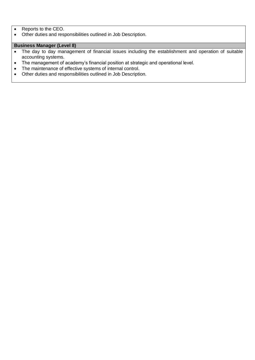- Reports to the CEO.
- Other duties and responsibilities outlined in Job Description.

### **Business Manager (Level 8)**

- The day to day management of financial issues including the establishment and operation of suitable accounting systems.
- The management of academy's financial position at strategic and operational level.
- The maintenance of effective systems of internal control.
- Other duties and responsibilities outlined in Job Description.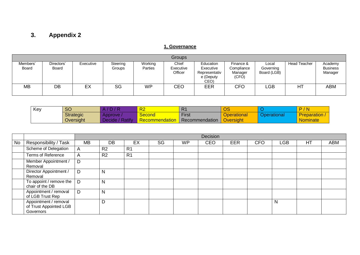## **3. Appendix 2**

### **1, Governance**

| Groups            |                            |           |                    |                    |                               |                                                              |                                             |                                   |                     |                                       |  |
|-------------------|----------------------------|-----------|--------------------|--------------------|-------------------------------|--------------------------------------------------------------|---------------------------------------------|-----------------------------------|---------------------|---------------------------------------|--|
| Members'<br>Board | Directors'<br><b>Board</b> | Executive | Steering<br>Groups | Working<br>Parties | Chief<br>Executive<br>Officer | Education<br>Executive<br>Representativ<br>e (Deputy<br>CEO) | Finance &<br>Compliance<br>Manager<br>(CFO) | Local<br>Governing<br>Board (LGB) | <b>Head Teacher</b> | Academy<br><b>Business</b><br>Manager |  |
| <b>MB</b>         | DB                         | EX        | SG                 | WP                 | CEO                           | <b>EER</b>                                                   | CFO                                         | LGB                               | HT                  | ABM                                   |  |

| Key | <b>SO</b>        | D/R                       | R <sub>2</sub>       | R <sub>1</sub> | $\bigcap$<br>ပ၁    |             | $\sqrt{}$ N<br>$\overline{\phantom{a}}$<br>- |
|-----|------------------|---------------------------|----------------------|----------------|--------------------|-------------|----------------------------------------------|
|     | <b>Strategic</b> | Approve                   | Second <b>Second</b> | <b>First</b>   | <b>Operational</b> | Dperational | <b>Preparation</b> ,                         |
|     | Oversight        | <b>Ratify</b><br>Decide / | Recommendation       | Recommendation | Oversight          |             | <b>Nominate</b>                              |

<span id="page-10-0"></span>

|    |                                                              |    | Decision       |                |    |           |     |            |            |            |    |            |
|----|--------------------------------------------------------------|----|----------------|----------------|----|-----------|-----|------------|------------|------------|----|------------|
| No | Responsibility / Task                                        | MB | DB             | EX             | SG | <b>WP</b> | CEO | <b>EER</b> | <b>CFO</b> | <b>LGB</b> | HT | <b>ABM</b> |
|    | Scheme of Delegation                                         | A  | R <sub>2</sub> | R <sub>1</sub> |    |           |     |            |            |            |    |            |
|    | <b>Terms of Reference</b>                                    | A  | R <sub>2</sub> | R <sub>1</sub> |    |           |     |            |            |            |    |            |
|    | Member Appointment /<br>Removal                              | D  |                |                |    |           |     |            |            |            |    |            |
|    | Director Appointment /<br>Removal                            | D  | N              |                |    |           |     |            |            |            |    |            |
|    | To appoint / remove the $\vert$<br>chair of the DB           | D  | N              |                |    |           |     |            |            |            |    |            |
|    | Appointment / removal<br>of LGB Trust Rep                    | D  | N              |                |    |           |     |            |            |            |    |            |
|    | Appointment / removal<br>of Trust Appointed LGB<br>Governors |    | D              |                |    |           |     |            |            | N          |    |            |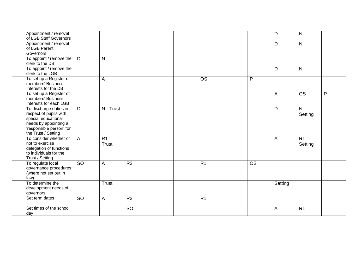| Appointment / removal<br>of LGB Staff Governors                                                                                                     |                 |                 |                 |  |                        |                        | D       | N                 |   |
|-----------------------------------------------------------------------------------------------------------------------------------------------------|-----------------|-----------------|-----------------|--|------------------------|------------------------|---------|-------------------|---|
| Appointment / removal<br>of LGB Parent<br>Governors                                                                                                 |                 |                 |                 |  |                        |                        | D       | $\mathsf{N}$      |   |
| To appoint / remove the<br>clerk to the DB                                                                                                          | D               | N               |                 |  |                        |                        |         |                   |   |
| To appoint / remove the<br>clerk to the LGB                                                                                                         |                 |                 |                 |  |                        |                        | D       | $\mathsf{N}$      |   |
| To set up a Register of<br>members' Business<br>Interests for the DB                                                                                |                 | A               |                 |  | $\overline{\text{OS}}$ | $\overline{P}$         |         |                   |   |
| To set up a Register of<br>members' Business<br>Interests for each LGB                                                                              |                 |                 |                 |  |                        |                        | A       | $\overline{OS}$   | P |
| To discharge duties in<br>respect of pupils with<br>special educational<br>needs by appointing a<br>'responsible person' for<br>the Trust / Setting | D               | N - Trust       |                 |  |                        |                        | D       | $N -$<br>Setting  |   |
| To consider whether or<br>not to exercise<br>delegation of functions<br>to individuals for the<br>Trust / Setting                                   | $\overline{A}$  | $R1 -$<br>Trust |                 |  |                        |                        | A       | $R1 -$<br>Setting |   |
| To regulate local<br>governance procedures<br>(where not set out in<br>law)                                                                         | $\overline{SO}$ | A               | R <sub>2</sub>  |  | R <sub>1</sub>         | $\overline{\text{OS}}$ |         |                   |   |
| To determine the<br>development needs of<br>governors                                                                                               |                 | Trust           |                 |  |                        |                        | Setting |                   |   |
| Set term dates                                                                                                                                      | <b>SO</b>       | A               | R <sub>2</sub>  |  | R <sub>1</sub>         |                        |         |                   |   |
| Set times of the school<br>day                                                                                                                      |                 |                 | $\overline{SO}$ |  |                        |                        | A       | R <sub>1</sub>    |   |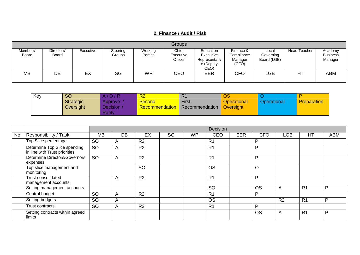## **2. Finance / Audit / Risk**

|                          |                     |           |                    |                    | Groups                        |                                                              |                                             |                                   |              |                                       |
|--------------------------|---------------------|-----------|--------------------|--------------------|-------------------------------|--------------------------------------------------------------|---------------------------------------------|-----------------------------------|--------------|---------------------------------------|
| Members'<br><b>Board</b> | Directors'<br>Board | Executive | Steering<br>Groups | Working<br>Parties | Chief<br>Executive<br>Officer | Education<br>Executive<br>Representativ<br>e (Deputy<br>CEO) | Finance &<br>Compliance<br>Manager<br>(CFO) | Local<br>Governing<br>Board (LGB) | Head Teacher | Academy<br><b>Business</b><br>Manager |
| <b>MB</b>                | DB                  | EX        | SG                 | <b>WP</b>          | CEO                           | EER                                                          | <b>CFO</b>                                  | _GB                               | HT           | ABM                                   |

| Key | <b>SO</b> | A/D/R           | R <sub>2</sub>        | R <sub>1</sub> | OS                 |             |                    |
|-----|-----------|-----------------|-----------------------|----------------|--------------------|-------------|--------------------|
|     | Strategic | Approve /       | <b>Second</b>         | <b>First</b>   | <b>Operational</b> | Operational | <b>Preparation</b> |
|     | Oversight | <b>Decision</b> | <b>Recommendation</b> | Recommendation | Oversight          |             |                    |
|     |           | Ratify          |                       |                |                    |             |                    |

|    |                                                               |           |                |                |    |           | Decision       |     |            |                |                |            |
|----|---------------------------------------------------------------|-----------|----------------|----------------|----|-----------|----------------|-----|------------|----------------|----------------|------------|
| No | Responsibility / Task                                         | <b>MB</b> | DB             | EX             | SG | <b>WP</b> | <b>CEO</b>     | EER | <b>CFO</b> | <b>LGB</b>     | HT             | <b>ABM</b> |
|    | Top Slice percentage                                          | <b>SO</b> | A              | R <sub>2</sub> |    |           | R <sub>1</sub> |     | P          |                |                |            |
|    | Determine Top Slice spending<br>in line with Trust priorities | <b>SO</b> | A              | R <sub>2</sub> |    |           | R <sub>1</sub> |     | P          |                |                |            |
|    | Determine Directors/Governors<br>expenses                     | <b>SO</b> | A              | R <sub>2</sub> |    |           | R <sub>1</sub> |     | P          |                |                |            |
|    | Top slice management and<br>monitoring                        |           |                | <b>SO</b>      |    |           | <b>OS</b>      |     | $\circ$    |                |                |            |
|    | Trust consolidated<br>management accounts                     |           | $\overline{A}$ | R <sub>2</sub> |    |           | R <sub>1</sub> |     | P          |                |                |            |
|    | Setting management accounts                                   |           |                |                |    |           | <b>SO</b>      |     | <b>OS</b>  | A              | R <sub>1</sub> | P          |
|    | Central budget                                                | <b>SO</b> | A              | R <sub>2</sub> |    |           | R <sub>1</sub> |     | P          |                |                |            |
|    | Setting budgets                                               | <b>SO</b> | A              |                |    |           | <b>OS</b>      |     |            | R <sub>2</sub> | R <sub>1</sub> | P          |
|    | Trust contracts                                               | <b>SO</b> | A              | R <sub>2</sub> |    |           | R <sub>1</sub> |     | P          |                |                |            |
|    | Setting contracts within agreed<br>limits                     |           |                |                |    |           |                |     | <b>OS</b>  | A              | R <sub>1</sub> | P          |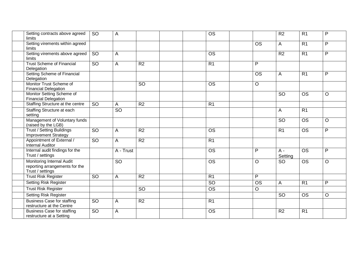| Setting contracts above agreed<br>limits                                        | <b>SO</b>       | A         |                 | $\overline{\text{OS}}$ |                        | R <sub>2</sub>   | $\overline{R1}$          | $\mathsf{P}$ |
|---------------------------------------------------------------------------------|-----------------|-----------|-----------------|------------------------|------------------------|------------------|--------------------------|--------------|
| Setting virements within agreed<br>limits                                       |                 |           |                 |                        | $\overline{\text{OS}}$ | $\mathsf{A}$     | $\overline{R1}$          | $\mathsf{P}$ |
| Setting virements above agreed<br>limits                                        | $\overline{SO}$ | A         |                 | <b>OS</b>              |                        | R2               | $\overline{R1}$          | P            |
| <b>Trust Scheme of Financial</b><br>Delegation                                  | <b>SO</b>       | A         | R <sub>2</sub>  | R <sub>1</sub>         | P                      |                  |                          |              |
| Setting Scheme of Financial<br>Delegation                                       |                 |           |                 |                        | $\overline{OS}$        | A                | $\overline{R1}$          | P            |
| Monitor Trust Scheme of<br><b>Financial Delegation</b>                          |                 |           | $\overline{SO}$ | $\overline{\text{OS}}$ | $\overline{O}$         |                  |                          |              |
| Monitor Setting Scheme of<br><b>Financial Delegation</b>                        |                 |           |                 |                        |                        | <b>SO</b>        | $\overline{\text{OS}}$   | $\circ$      |
| Staffing Structure at the centre                                                | $\overline{SO}$ | A         | R <sub>2</sub>  | $\overline{R1}$        |                        |                  |                          |              |
| Staffing Structure at each<br>setting                                           |                 | SO        |                 |                        |                        | A                | R <sub>1</sub>           |              |
| Management of Voluntary funds<br>(raised by the LGB)                            |                 |           |                 |                        |                        | <b>SO</b>        | $\overline{\text{OS}}$   | $\circ$      |
| <b>Trust / Setting Buildings</b><br>Improvement Strategy                        | $\overline{SO}$ | A         | $\overline{R2}$ | $\overline{\text{OS}}$ |                        | R <sub>1</sub>   | $\overline{\mathrm{OS}}$ | P            |
| Appointment of External /<br><b>Internal Auditor</b>                            | $\overline{SO}$ | A         | R <sub>2</sub>  | R <sub>1</sub>         |                        |                  |                          |              |
| Internal audit findings for the<br>Trust / settings                             |                 | A - Trust |                 | <b>OS</b>              | P                      | $A -$<br>Setting | $\overline{\text{OS}}$   | P            |
| Monitoring Internal Audit<br>reporting arrangements for the<br>Trust / settings |                 | <b>SO</b> |                 | $\overline{\text{OS}}$ | $\circ$                | <b>SO</b>        | $\overline{OS}$          | $\circ$      |
| <b>Trust Risk Register</b>                                                      | <b>SO</b>       | A         | R <sub>2</sub>  | R <sub>1</sub>         | P                      |                  |                          |              |
| <b>Setting Risk Register</b>                                                    |                 |           |                 | $\overline{SO}$        | $\overline{\text{OS}}$ | A                | R <sub>1</sub>           | P            |
| <b>Trust Risk Register</b>                                                      |                 |           | <b>SO</b>       | <b>OS</b>              | $\circ$                |                  |                          |              |
| <b>Setting Risk Register</b>                                                    |                 |           |                 |                        |                        | <b>SO</b>        | <b>OS</b>                | $\circ$      |
| <b>Business Case for staffing</b><br>restructure at the Centre                  | <b>SO</b>       | A         | R <sub>2</sub>  | R <sub>1</sub>         |                        |                  |                          |              |
| <b>Business Case for staffing</b><br>restructure at a Setting                   | <b>SO</b>       | A         |                 | <b>OS</b>              |                        | R <sub>2</sub>   | R <sub>1</sub>           |              |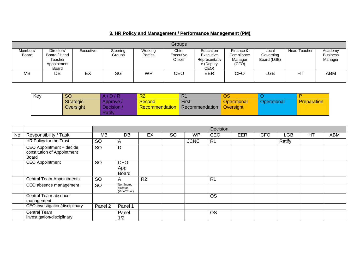## **3. HR Policy and Management / Performance Management (PM)**

|                   | <b>Groups</b>                                                 |           |                    |                    |                               |                                                              |                                             |                                   |                     |                                       |  |  |  |
|-------------------|---------------------------------------------------------------|-----------|--------------------|--------------------|-------------------------------|--------------------------------------------------------------|---------------------------------------------|-----------------------------------|---------------------|---------------------------------------|--|--|--|
| Members'<br>Board | Directors'<br>Board / Head<br>Teacher<br>Appointment<br>Board | Executive | Steering<br>Groups | Working<br>Parties | Chief<br>Executive<br>Officer | Education<br>Executive<br>Representativ<br>e (Deputy<br>CEO) | Finance &<br>Compliance<br>Manager<br>(CFO) | Local<br>Governing<br>Board (LGB) | <b>Head Teacher</b> | Academy<br><b>Business</b><br>Manager |  |  |  |
| <b>MB</b>         | DB                                                            | EX        | SG                 | <b>WP</b>          | CEO                           | EER                                                          | <b>CFO</b>                                  | _GB                               | HT                  | ABM                                   |  |  |  |

| Key | <b>SO</b> | A/D/R           | R <sub>2</sub>        | R <sub>1</sub> | OS                 |             |                    |
|-----|-----------|-----------------|-----------------------|----------------|--------------------|-------------|--------------------|
|     | Strategic | Approve /       | <b>Second</b>         | <b>First</b>   | <b>Operational</b> | Operational | <b>Preparation</b> |
|     | Oversight | <b>Decision</b> | <b>Recommendation</b> | Recommendation | Oversight          |             |                    |
|     |           | Ratify          |                       |                |                    |             |                    |

|           |                                                                  |           |                                       |                |    |             | Decision       |            |            |        |    |     |
|-----------|------------------------------------------------------------------|-----------|---------------------------------------|----------------|----|-------------|----------------|------------|------------|--------|----|-----|
| <b>No</b> | Responsibility / Task                                            | MВ        | DB                                    | EX             | SG | <b>WP</b>   | <b>CEO</b>     | <b>EER</b> | <b>CFO</b> | LGB    | HT | ABM |
|           | HR Policy for the Trust                                          | <b>SO</b> | A                                     |                |    | <b>JCNC</b> | R <sub>1</sub> |            |            | Ratify |    |     |
|           | CEO Appointment - decide<br>constitution of Appointment<br>Board | <b>SO</b> | D                                     |                |    |             |                |            |            |        |    |     |
|           | <b>CEO</b> Appointment                                           | <b>SO</b> | CEO<br>App<br><b>Board</b>            |                |    |             |                |            |            |        |    |     |
|           | <b>Central Team Appointments</b>                                 | <b>SO</b> | $\mathsf{A}$                          | R <sub>2</sub> |    |             | R <sub>1</sub> |            |            |        |    |     |
|           | CEO absence management                                           | <b>SO</b> | Nominated<br>director<br>(Vice/Chair) |                |    |             |                |            |            |        |    |     |
|           | Central Team absence<br>management                               |           |                                       |                |    |             | <b>OS</b>      |            |            |        |    |     |
|           | CEO investigation/disciplinary                                   | Panel 2   | Panel 1                               |                |    |             |                |            |            |        |    |     |
|           | Central Team<br>investigation/disciplinary                       |           | Panel<br>1/2                          |                |    |             | <b>OS</b>      |            |            |        |    |     |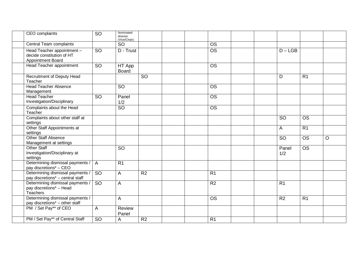| CEO complaints                                                               | SO              | Nominated<br>director<br>(Vice/Chair) |                 |                        |                 |                                 |         |
|------------------------------------------------------------------------------|-----------------|---------------------------------------|-----------------|------------------------|-----------------|---------------------------------|---------|
| Central Team complaints                                                      |                 | <b>SO</b>                             |                 | $\overline{OS}$        |                 |                                 |         |
| Head Teacher appointment -<br>decide constitution of HT<br>Appointment Board | $\overline{SO}$ | D - Trust                             |                 | $\overline{\text{OS}}$ |                 | $D - LGB$                       |         |
| Head Teacher appointment                                                     | <b>SO</b>       | HT App<br><b>Board</b>                |                 | <b>OS</b>              |                 |                                 |         |
| <b>Recruitment of Deputy Head</b><br>Teacher                                 |                 |                                       | $\overline{SO}$ |                        | D               | $\overline{R1}$                 |         |
| <b>Head Teacher Absence</b><br>Management                                    |                 | SO                                    |                 | $\overline{OS}$        |                 |                                 |         |
| <b>Head Teacher</b><br>Investigation/Disciplinary                            | <b>SO</b>       | Panel<br>1/2                          |                 | <b>OS</b>              |                 |                                 |         |
| Complaints about the Head<br>Teacher                                         |                 | $\overline{SO}$                       |                 | <b>OS</b>              |                 |                                 |         |
| Complaints about other staff at<br>settings                                  |                 |                                       |                 |                        | <b>SO</b>       | $\overline{\text{OS}}$          |         |
| Other Staff Appointments at<br>settings                                      |                 |                                       |                 |                        | $\mathsf{A}$    | R <sub>1</sub>                  |         |
| Other Staff Absence<br>Management at settings                                |                 |                                       |                 |                        | <b>SO</b>       | $\overline{OS}$                 | $\circ$ |
| <b>Other Staff</b><br>Investigation/Disciplinary at<br>settings              |                 | SO                                    |                 |                        | 1/2             | Panel<br>$\overline{\text{OS}}$ |         |
| Determining dismissal payments /<br>pay discretions* - CEO                   | $\overline{A}$  | R <sub>1</sub>                        |                 |                        |                 |                                 |         |
| Determining dismissal payments /<br>pay discretions* - central staff         | <b>SO</b>       | A                                     | R <sub>2</sub>  | $\overline{R1}$        |                 |                                 |         |
| Determining dismissal payments /<br>pay discretions* - Head<br>Teachers      | $\overline{SO}$ | A                                     |                 | R <sub>2</sub>         | $\overline{R1}$ |                                 |         |
| Determining dismissal payments /<br>pay discretions* - other staff           |                 | A                                     |                 | <b>OS</b>              | R <sub>2</sub>  | R <sub>1</sub>                  |         |
| PM / Set Pay** of CEO                                                        | A               | <b>Review</b><br>Panel                |                 |                        |                 |                                 |         |
| PM / Set Pay** of Central Staff                                              | $\overline{SO}$ | A                                     | R <sub>2</sub>  | R <sub>1</sub>         |                 |                                 |         |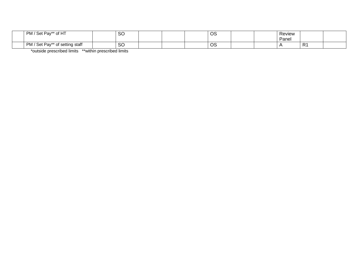| PM / Set Pay** of HT            | <b>SO</b> |  | $\cap$ c<br>◡◡ |  | Review |         |  |
|---------------------------------|-----------|--|----------------|--|--------|---------|--|
|                                 |           |  |                |  | Pane.  |         |  |
| PM / Set Pay** of setting staff | <b>SO</b> |  | $\cap$<br>vo   |  |        | D.<br>. |  |

\*outside prescribed limits \*\*within prescribed limits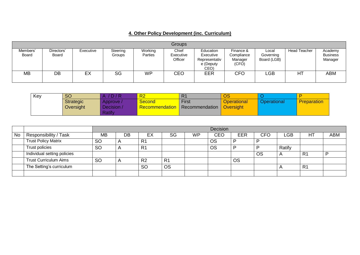|                          | <b>Groups</b>       |           |                    |                    |                               |                                                                     |                                             |                                   |                     |                                       |  |  |
|--------------------------|---------------------|-----------|--------------------|--------------------|-------------------------------|---------------------------------------------------------------------|---------------------------------------------|-----------------------------------|---------------------|---------------------------------------|--|--|
| Members'<br><b>Board</b> | Directors'<br>Board | Executive | Steering<br>Groups | Working<br>Parties | Chief<br>Executive<br>Officer | <b>Education</b><br>Executive<br>Representativ<br>e (Deputy<br>CEO) | Finance &<br>Compliance<br>Manager<br>(CFO) | Local<br>Governing<br>Board (LGB) | <b>Head Teacher</b> | Academy<br><b>Business</b><br>Manager |  |  |
| <b>MB</b>                | DB                  | EX        | SG                 | WP                 | CEO                           | EER                                                                 | <b>CFO</b>                                  | _GB                               | HT                  | ABM                                   |  |  |

| Key | <b>SO</b>        | <b>D/R</b> | R <sub>2</sub> | n i            | OS                 |             |                    |
|-----|------------------|------------|----------------|----------------|--------------------|-------------|--------------------|
|     | <b>Strategic</b> | Approve /  | Second         | <b>First</b>   | <b>Operational</b> | Operational | <b>Preparation</b> |
|     | Oversight        | Decision / | Recommendation | Recommendation | <b>Oversight</b>   |             |                    |
|     |                  | Ratify     |                |                |                    |             |                    |

|    |                              |           | Decision |                |                |           |           |            |     |                           |                |            |
|----|------------------------------|-----------|----------|----------------|----------------|-----------|-----------|------------|-----|---------------------------|----------------|------------|
| No | Responsibility / Task        | <b>MB</b> | DB       | EX             | <b>SG</b>      | <b>WP</b> | CEO       | <b>EER</b> | CFO | ∟GB                       | H1             | <b>ABM</b> |
|    | <b>Trust Policy Matrix</b>   | <b>SO</b> |          | R <sub>1</sub> |                |           | <b>OS</b> | D          |     |                           |                |            |
|    | Trust policies               | <b>SO</b> |          | R <sub>1</sub> |                |           | <b>OS</b> |            |     | Ratify                    |                |            |
|    | Individual setting policies  |           |          |                |                |           |           |            | OS  | $\boldsymbol{\mathsf{A}}$ | R <sub>1</sub> |            |
|    | <b>Trust Curriculum Aims</b> | <b>SO</b> |          | R <sub>2</sub> | R <sub>1</sub> |           |           | <b>OS</b>  |     |                           |                |            |
|    | The Setting's curriculum     |           |          | <b>SO</b>      | <b>OS</b>      |           |           |            |     |                           | R <sub>1</sub> |            |
|    |                              |           |          |                |                |           |           |            |     |                           |                |            |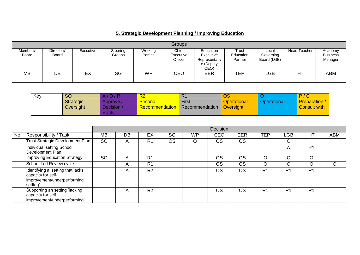## **5. Strategic Development Planning / Improving Education**

|                   |                     |           |                    |                    | <b>Groups</b>                 |                                                              |                               |                                   |                     |                                       |
|-------------------|---------------------|-----------|--------------------|--------------------|-------------------------------|--------------------------------------------------------------|-------------------------------|-----------------------------------|---------------------|---------------------------------------|
| Members'<br>Board | Directors'<br>Board | Executive | Steering<br>Groups | Working<br>Parties | Chief<br>Executive<br>Officer | Education<br>Executive<br>Representativ<br>e (Deputy<br>CEO) | Trust<br>Education<br>Partner | Local<br>Governing<br>Board (LGB) | <b>Head Teacher</b> | Academy<br><b>Business</b><br>Manager |
| <b>MB</b>         | DB                  | EX        | SG                 | WP                 | CEO                           | EER                                                          | <b>TEP</b>                    | _GB                               | HT                  | ABM                                   |

| Key | <b>SO</b>        | A/D/R           | R <sub>2</sub> | R'             | $\overline{\text{OS}}$ |                    | D / C               |
|-----|------------------|-----------------|----------------|----------------|------------------------|--------------------|---------------------|
|     | <b>Strategic</b> | Approve /       | <b>Second</b>  | <b>First</b>   | <b>Operational</b>     | <b>Operational</b> | <b>Preparation</b>  |
|     | Oversight        | <b>Decision</b> | Recommendation | Recommendation | <b>Oversight</b>       |                    | <b>Consult with</b> |
|     |                  | Ratify          |                |                |                        |                    |                     |

|    |                                                                                                    |           |    |                |           |           | Decision   |            |                |                |                |            |
|----|----------------------------------------------------------------------------------------------------|-----------|----|----------------|-----------|-----------|------------|------------|----------------|----------------|----------------|------------|
| No | Responsibility / Task                                                                              | <b>MB</b> | DB | EX             | SG        | <b>WP</b> | <b>CEO</b> | <b>EER</b> | <b>TEP</b>     | LGB            | HT             | <b>ABM</b> |
|    | Trust Strategic Development Plan                                                                   | <b>SO</b> | A  | R <sub>1</sub> | <b>OS</b> |           | <b>OS</b>  | <b>OS</b>  |                | C              |                |            |
|    | Individual setting School<br>Development Plan                                                      |           |    |                |           |           |            |            |                | A              | R <sub>1</sub> |            |
|    | <b>Improving Education Strategy</b>                                                                | <b>SO</b> | A  | R <sub>1</sub> |           |           | OS         | <b>OS</b>  | O              | C              | $\circ$        |            |
|    | School Led Review cycle                                                                            |           | A  | R <sub>1</sub> |           |           | <b>OS</b>  | <b>OS</b>  | O              | C              |                | O          |
|    | Identifying a 'setting that lacks<br>capacity for self-<br>improvement/underperforming<br>setting' |           | A  | R <sub>2</sub> |           |           | <b>OS</b>  | <b>OS</b>  | R <sub>1</sub> | R <sub>1</sub> | R <sub>1</sub> |            |
|    | Supporting an setting 'lacking<br>capacity for self-<br>improvement/underperforming'               |           | A  | R <sub>2</sub> |           |           | OS         | <b>OS</b>  | R <sub>1</sub> | R <sub>1</sub> | R <sub>1</sub> |            |